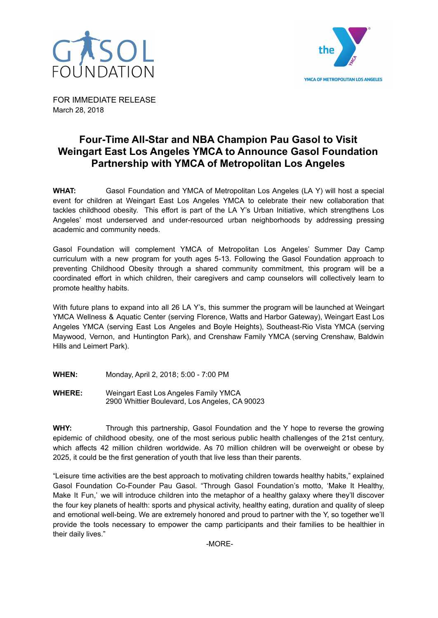



FOR IMMEDIATE RELEASE March 28, 2018

## **Four-Time All-Star and NBA Champion Pau Gasol to Visit Weingart East Los Angeles YMCA to Announce Gasol Foundation Partnership with YMCA of Metropolitan Los Angeles**

**WHAT:** Gasol Foundation and YMCA of Metropolitan Los Angeles (LA Y) will host a special event for children at Weingart East Los Angeles YMCA to celebrate their new collaboration that tackles childhood obesity. This effort is part of the LA Y's Urban Initiative, which strengthens Los Angeles' most underserved and under-resourced urban neighborhoods by addressing pressing academic and community needs.

Gasol Foundation will complement YMCA of Metropolitan Los Angeles' Summer Day Camp curriculum with a new program for youth ages 5-13. Following the Gasol Foundation approach to preventing Childhood Obesity through a shared community commitment, this program will be a coordinated effort in which children, their caregivers and camp counselors will collectively learn to promote healthy habits.

With future plans to expand into all 26 LA Y's, this summer the program will be launched at Weingart YMCA Wellness & Aquatic Center (serving Florence, Watts and Harbor Gateway), Weingart East Los Angeles YMCA (serving East Los Angeles and Boyle Heights), Southeast-Rio Vista YMCA (serving Maywood, Vernon, and Huntington Park), and Crenshaw Family YMCA (serving Crenshaw, Baldwin Hills and Leimert Park).

- **WHEN:** Monday, April 2, 2018; 5:00 7:00 PM
- **WHERE:** Weingart East Los Angeles Family YMCA 2900 Whittier Boulevard, Los Angeles, CA 90023

**WHY:** Through this partnership, Gasol Foundation and the Y hope to reverse the growing epidemic of childhood obesity, one of the most serious public health challenges of the 21st century, which affects 42 million children worldwide. As 70 million children will be overweight or obese by 2025, it could be the first generation of youth that live less than their parents.

"Leisure time activities are the best approach to motivating children towards healthy habits," explained Gasol Foundation Co-Founder Pau Gasol. "Through Gasol Foundation's motto, 'Make It Healthy, Make It Fun,' we will introduce children into the metaphor of a healthy galaxy where they'll discover the four key planets of health: sports and physical activity, healthy eating, duration and quality of sleep and emotional well-being. We are extremely honored and proud to partner with the Y, so together we'll provide the tools necessary to empower the camp participants and their families to be healthier in their daily lives."

-MORE-